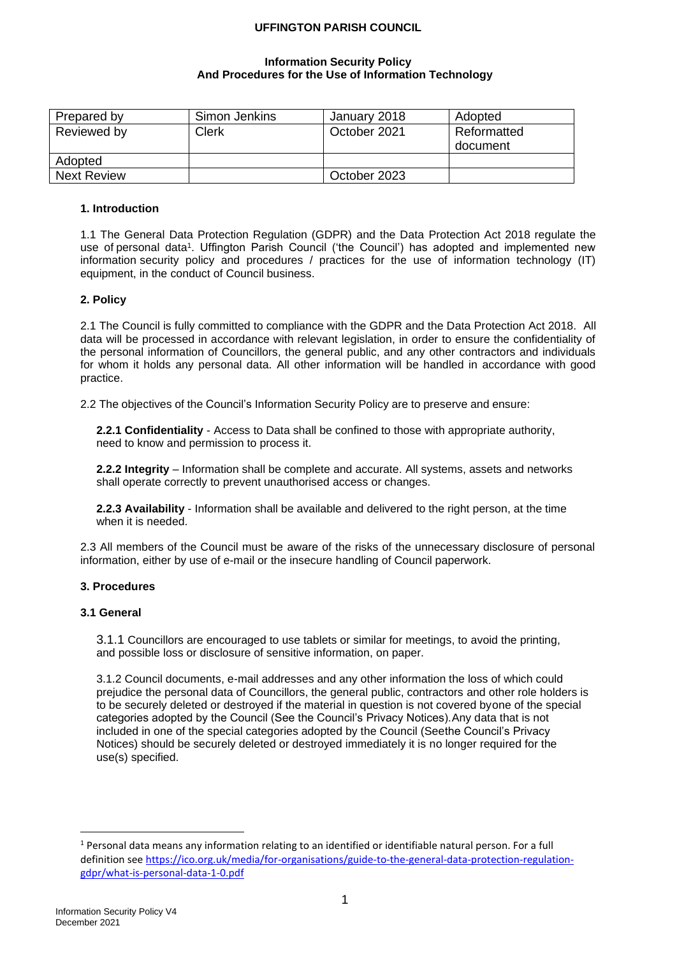### **Information Security Policy And Procedures for the Use of Information Technology**

| Prepared by        | Simon Jenkins | January 2018 | Adopted                 |
|--------------------|---------------|--------------|-------------------------|
| Reviewed by        | Clerk         | October 2021 | Reformatted<br>document |
| Adopted            |               |              |                         |
| <b>Next Review</b> |               | October 2023 |                         |

## **1. Introduction**

1.1 The General Data Protection Regulation (GDPR) and the Data Protection Act 2018 regulate the use of personal data<sup>1</sup>. Uffington Parish Council ('the Council') has adopted and implemented new information security policy and procedures / practices for the use of information technology (IT) equipment, in the conduct of Council business.

### **2. Policy**

2.1 The Council is fully committed to compliance with the GDPR and the Data Protection Act 2018. All data will be processed in accordance with relevant legislation, in order to ensure the confidentiality of the personal information of Councillors, the general public, and any other contractors and individuals for whom it holds any personal data. All other information will be handled in accordance with good practice.

2.2 The objectives of the Council's Information Security Policy are to preserve and ensure:

**2.2.1 Confidentiality** - Access to Data shall be confined to those with appropriate authority, need to know and permission to process it.

**2.2.2 Integrity** – Information shall be complete and accurate. All systems, assets and networks shall operate correctly to prevent unauthorised access or changes.

**2.2.3 Availability** - Information shall be available and delivered to the right person, at the time when it is needed.

2.3 All members of the Council must be aware of the risks of the unnecessary disclosure of personal information, either by use of e-mail or the insecure handling of Council paperwork.

# **3. Procedures**

### **3.1 General**

3.1.1 Councillors are encouraged to use tablets or similar for meetings, to avoid the printing, and possible loss or disclosure of sensitive information, on paper.

3.1.2 Council documents, e-mail addresses and any other information the loss of which could prejudice the personal data of Councillors, the general public, contractors and other role holders is to be securely deleted or destroyed if the material in question is not covered byone of the special categories adopted by the Council (See the Council's Privacy Notices).Any data that is not included in one of the special categories adopted by the Council (Seethe Council's Privacy Notices) should be securely deleted or destroyed immediately it is no longer required for the use(s) specified.

 $1$  Personal data means any information relating to an identified or identifiable natural person. For a full definition se[e https://ico.org.uk/media/for-organisations/guide-to-the-general-data-protection-regulation](https://ico.org.uk/media/for-organisations/guide-to-the-general-data-protection-regulation-gdpr/what-is-personal-data-1-0.pdf)[gdpr/what-is-personal-data-1-0.pdf](https://ico.org.uk/media/for-organisations/guide-to-the-general-data-protection-regulation-gdpr/what-is-personal-data-1-0.pdf)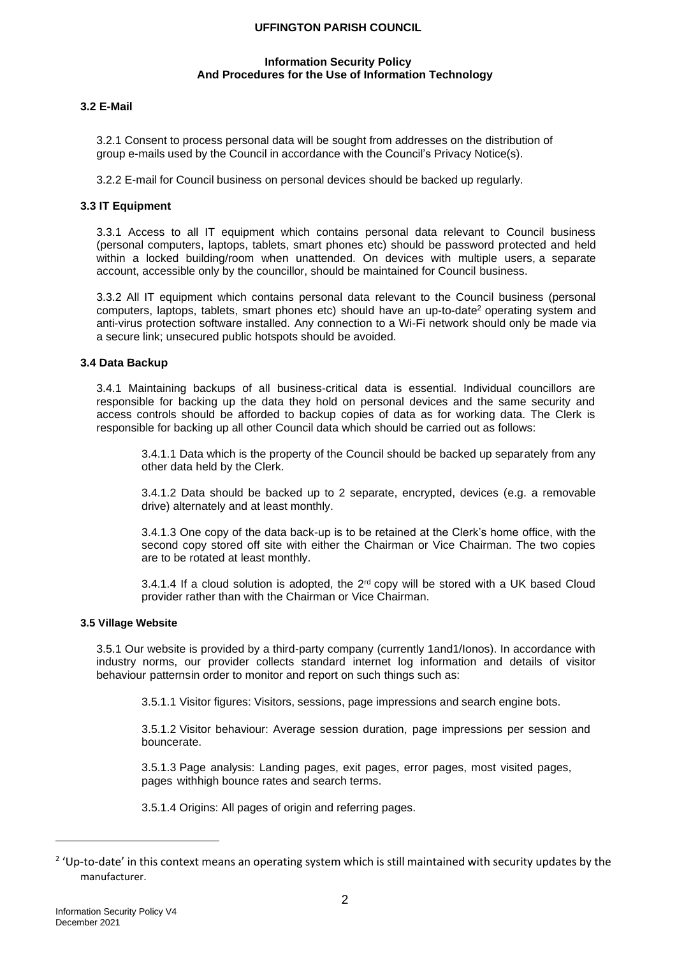#### **Information Security Policy And Procedures for the Use of Information Technology**

## **3.2 E-Mail**

3.2.1 Consent to process personal data will be sought from addresses on the distribution of group e-mails used by the Council in accordance with the Council's Privacy Notice(s).

3.2.2 E-mail for Council business on personal devices should be backed up regularly.

#### **3.3 IT Equipment**

3.3.1 Access to all IT equipment which contains personal data relevant to Council business (personal computers, laptops, tablets, smart phones etc) should be password protected and held within a locked building/room when unattended. On devices with multiple users, a separate account, accessible only by the councillor, should be maintained for Council business.

3.3.2 All IT equipment which contains personal data relevant to the Council business (personal computers, laptops, tablets, smart phones etc) should have an up-to-date<sup>2</sup> operating system and anti-virus protection software installed. Any connection to a Wi-Fi network should only be made via a secure link; unsecured public hotspots should be avoided.

#### **3.4 Data Backup**

3.4.1 Maintaining backups of all business-critical data is essential. Individual councillors are responsible for backing up the data they hold on personal devices and the same security and access controls should be afforded to backup copies of data as for working data. The Clerk is responsible for backing up all other Council data which should be carried out as follows:

3.4.1.1 Data which is the property of the Council should be backed up separately from any other data held by the Clerk.

3.4.1.2 Data should be backed up to 2 separate, encrypted, devices (e.g. a removable drive) alternately and at least monthly.

3.4.1.3 One copy of the data back-up is to be retained at the Clerk's home office, with the second copy stored off site with either the Chairman or Vice Chairman. The two copies are to be rotated at least monthly.

3.4.1.4 If a cloud solution is adopted, the 2<sup>rd</sup> copy will be stored with a UK based Cloud provider rather than with the Chairman or Vice Chairman.

### **3.5 Village Website**

3.5.1 Our website is provided by a third-party company (currently 1and1/Ionos). In accordance with industry norms, our provider collects standard internet log information and details of visitor behaviour patternsin order to monitor and report on such things such as:

3.5.1.1 Visitor figures: Visitors, sessions, page impressions and search engine bots.

3.5.1.2 Visitor behaviour: Average session duration, page impressions per session and bouncerate.

3.5.1.3 Page analysis: Landing pages, exit pages, error pages, most visited pages, pages withhigh bounce rates and search terms.

3.5.1.4 Origins: All pages of origin and referring pages.

<sup>&</sup>lt;sup>2</sup> 'Up-to-date' in this context means an operating system which is still maintained with security updates by the manufacturer.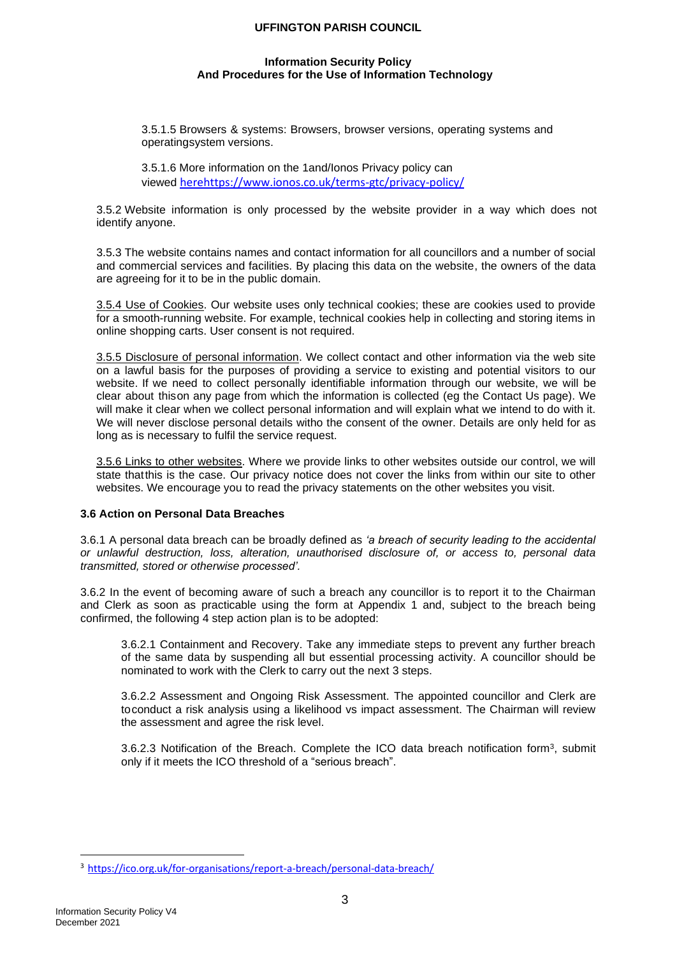#### **Information Security Policy And Procedures for the Use of Information Technology**

3.5.1.5 Browsers & systems: Browsers, browser versions, operating systems and operatingsystem versions.

3.5.1.6 More information on the 1and/Ionos Privacy policy can viewed [herehttps://www.ionos.co.uk/terms-gtc/privacy-policy/](https://www.ionos.co.uk/terms-gtc/privacy-policy/)

3.5.2 Website information is only processed by the website provider in a way which does not identify anyone.

3.5.3 The website contains names and contact information for all councillors and a number of social and commercial services and facilities. By placing this data on the website, the owners of the data are agreeing for it to be in the public domain.

3.5.4 Use of Cookies. Our website uses only technical cookies; these are cookies used to provide for a smooth-running website. For example, technical cookies help in collecting and storing items in online shopping carts. User consent is not required.

3.5.5 Disclosure of personal information. We collect contact and other information via the web site on a lawful basis for the purposes of providing a service to existing and potential visitors to our website. If we need to collect personally identifiable information through our website, we will be clear about thison any page from which the information is collected (eg the Contact Us page). We will make it clear when we collect personal information and will explain what we intend to do with it. We will never disclose personal details witho the consent of the owner. Details are only held for as long as is necessary to fulfil the service request.

3.5.6 Links to other websites. Where we provide links to other websites outside our control, we will state thatthis is the case. Our privacy notice does not cover the links from within our site to other websites. We encourage you to read the privacy statements on the other websites you visit.

#### **3.6 Action on Personal Data Breaches**

3.6.1 A personal data breach can be broadly defined as *'a breach of security leading to the accidental or unlawful destruction, loss, alteration, unauthorised disclosure of, or access to, personal data transmitted, stored or otherwise processed'.*

3.6.2 In the event of becoming aware of such a breach any councillor is to report it to the Chairman and Clerk as soon as practicable using the form at Appendix 1 and, subject to the breach being confirmed, the following 4 step action plan is to be adopted:

3.6.2.1 Containment and Recovery. Take any immediate steps to prevent any further breach of the same data by suspending all but essential processing activity. A councillor should be nominated to work with the Clerk to carry out the next 3 steps.

3.6.2.2 Assessment and Ongoing Risk Assessment. The appointed councillor and Clerk are toconduct a risk analysis using a likelihood vs impact assessment. The Chairman will review the assessment and agree the risk level.

3.6.2.3 Notification of the Breach. Complete the ICO data breach notification form<sup>3</sup> , submit only if it meets the ICO threshold of a "serious breach".

<sup>3</sup> <https://ico.org.uk/for-organisations/report-a-breach/personal-data-breach/>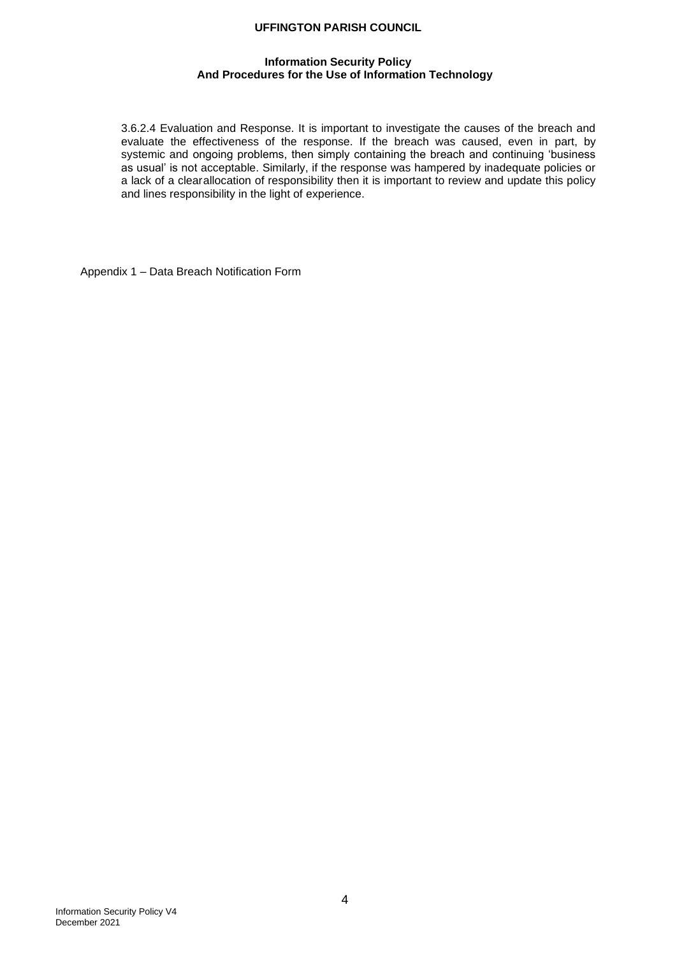## **Information Security Policy And Procedures for the Use of Information Technology**

3.6.2.4 Evaluation and Response. It is important to investigate the causes of the breach and evaluate the effectiveness of the response. If the breach was caused, even in part, by systemic and ongoing problems, then simply containing the breach and continuing 'business as usual' is not acceptable. Similarly, if the response was hampered by inadequate policies or a lack of a clearallocation of responsibility then it is important to review and update this policy and lines responsibility in the light of experience.

Appendix 1 – Data Breach Notification Form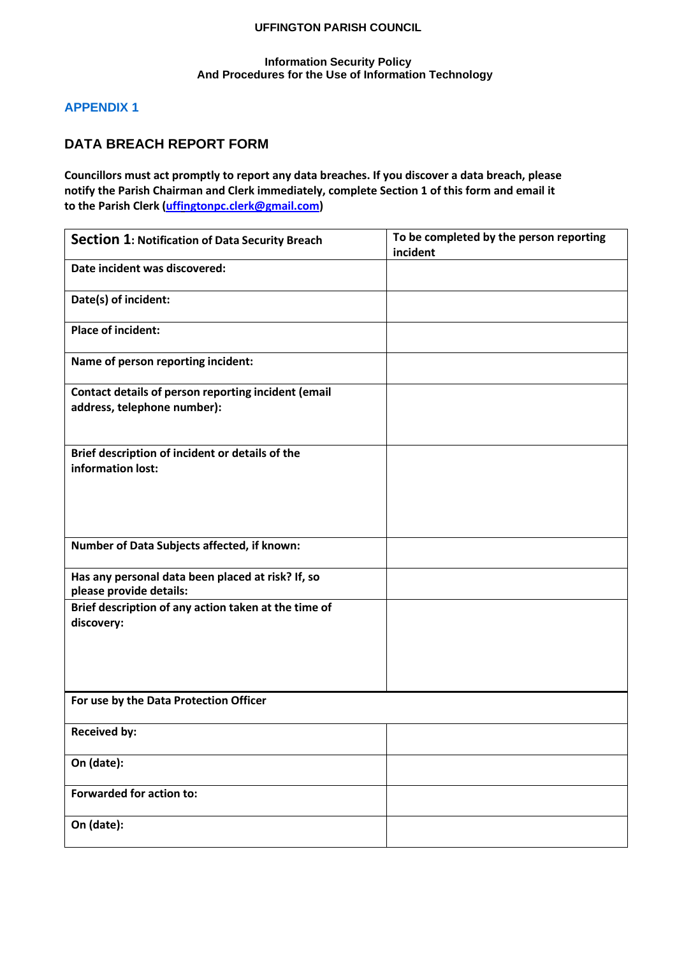# **Information Security Policy And Procedures for the Use of Information Technology**

# **APPENDIX 1**

# **DATA BREACH REPORT FORM**

**Councillors must act promptly to report any data breaches. If you discover a data breach, please notify the Parish Chairman and Clerk immediately, complete Section 1 of this form and email it to the Parish Clerk [\(uffingtonpc.clerk@gmail.com\)](mailto:uffingtonpc.clerk@gmail.com)**

| Section 1: Notification of Data Security Breach                                    | To be completed by the person reporting<br>incident |
|------------------------------------------------------------------------------------|-----------------------------------------------------|
| Date incident was discovered:                                                      |                                                     |
| Date(s) of incident:                                                               |                                                     |
| <b>Place of incident:</b>                                                          |                                                     |
| Name of person reporting incident:                                                 |                                                     |
| Contact details of person reporting incident (email<br>address, telephone number): |                                                     |
| Brief description of incident or details of the<br>information lost:               |                                                     |
| Number of Data Subjects affected, if known:                                        |                                                     |
| Has any personal data been placed at risk? If, so<br>please provide details:       |                                                     |
| Brief description of any action taken at the time of<br>discovery:                 |                                                     |
| For use by the Data Protection Officer                                             |                                                     |
| <b>Received by:</b>                                                                |                                                     |
| On (date):                                                                         |                                                     |
| <b>Forwarded for action to:</b>                                                    |                                                     |
| On (date):                                                                         |                                                     |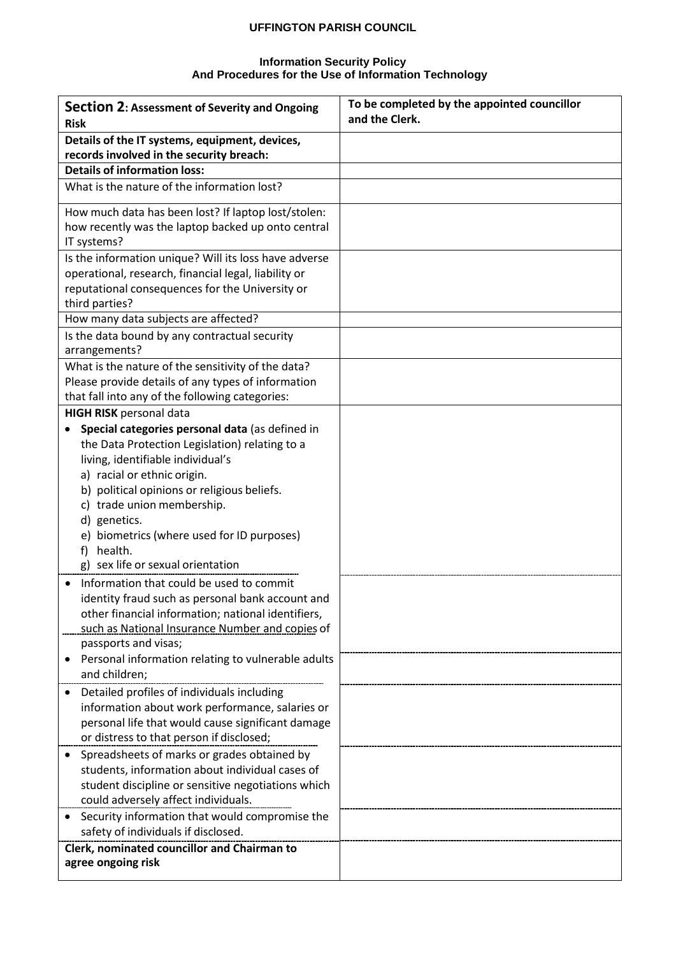#### **Information Security Policy And Procedures for the Use of Information Technology**

| Section 2: Assessment of Severity and Ongoing<br><b>Risk</b>              | To be completed by the appointed councillor<br>and the Clerk. |
|---------------------------------------------------------------------------|---------------------------------------------------------------|
| Details of the IT systems, equipment, devices,                            |                                                               |
| records involved in the security breach:                                  |                                                               |
| <b>Details of information loss:</b>                                       |                                                               |
| What is the nature of the information lost?                               |                                                               |
| How much data has been lost? If laptop lost/stolen:                       |                                                               |
| how recently was the laptop backed up onto central                        |                                                               |
| IT systems?                                                               |                                                               |
| Is the information unique? Will its loss have adverse                     |                                                               |
| operational, research, financial legal, liability or                      |                                                               |
| reputational consequences for the University or                           |                                                               |
| third parties?                                                            |                                                               |
| How many data subjects are affected?                                      |                                                               |
| Is the data bound by any contractual security<br>arrangements?            |                                                               |
| What is the nature of the sensitivity of the data?                        |                                                               |
| Please provide details of any types of information                        |                                                               |
| that fall into any of the following categories:                           |                                                               |
| <b>HIGH RISK</b> personal data                                            |                                                               |
| Special categories personal data (as defined in                           |                                                               |
| the Data Protection Legislation) relating to a                            |                                                               |
| living, identifiable individual's                                         |                                                               |
| a) racial or ethnic origin.                                               |                                                               |
| b) political opinions or religious beliefs.<br>c) trade union membership. |                                                               |
| d) genetics.                                                              |                                                               |
| e) biometrics (where used for ID purposes)                                |                                                               |
| health.<br>f)                                                             |                                                               |
| g) sex life or sexual orientation                                         |                                                               |
| Information that could be used to commit                                  |                                                               |
| identity fraud such as personal bank account and                          |                                                               |
| other financial information; national identifiers,                        |                                                               |
| such as National Insurance Number and copies of                           |                                                               |
| passports and visas;                                                      |                                                               |
| Personal information relating to vulnerable adults                        |                                                               |
| and children;                                                             |                                                               |
| Detailed profiles of individuals including                                |                                                               |
| information about work performance, salaries or                           |                                                               |
| personal life that would cause significant damage                         |                                                               |
| or distress to that person if disclosed;                                  |                                                               |
| Spreadsheets of marks or grades obtained by                               |                                                               |
| students, information about individual cases of                           |                                                               |
| student discipline or sensitive negotiations which                        |                                                               |
| could adversely affect individuals.                                       |                                                               |
| Security information that would compromise the                            |                                                               |
| safety of individuals if disclosed.                                       |                                                               |
| Clerk, nominated councillor and Chairman to<br>agree ongoing risk         |                                                               |
|                                                                           |                                                               |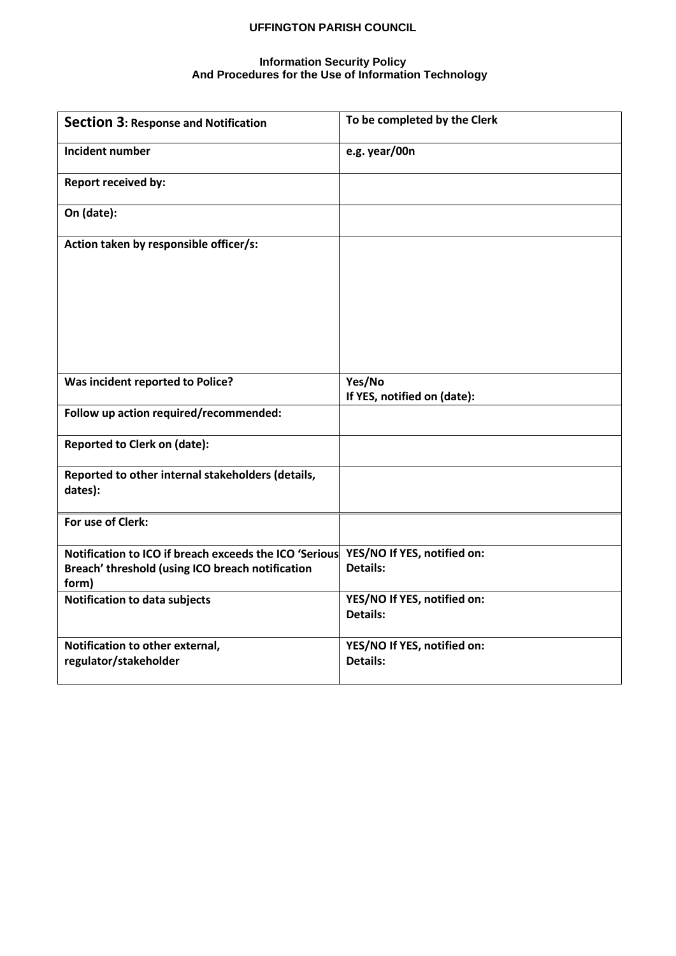### **Information Security Policy And Procedures for the Use of Information Technology**

| <b>Section 3: Response and Notification</b>                                                                         | To be completed by the Clerk                   |
|---------------------------------------------------------------------------------------------------------------------|------------------------------------------------|
| <b>Incident number</b>                                                                                              | e.g. year/00n                                  |
| <b>Report received by:</b>                                                                                          |                                                |
| On (date):                                                                                                          |                                                |
| Action taken by responsible officer/s:                                                                              |                                                |
| Was incident reported to Police?                                                                                    | Yes/No<br>If YES, notified on (date):          |
| Follow up action required/recommended:                                                                              |                                                |
| <b>Reported to Clerk on (date):</b>                                                                                 |                                                |
| Reported to other internal stakeholders (details,<br>dates):                                                        |                                                |
| For use of Clerk:                                                                                                   |                                                |
| Notification to ICO if breach exceeds the ICO 'Serious<br>Breach' threshold (using ICO breach notification<br>form) | YES/NO If YES, notified on:<br><b>Details:</b> |
| Notification to data subjects                                                                                       | YES/NO If YES, notified on:<br><b>Details:</b> |
| Notification to other external,<br>regulator/stakeholder                                                            | YES/NO If YES, notified on:<br><b>Details:</b> |